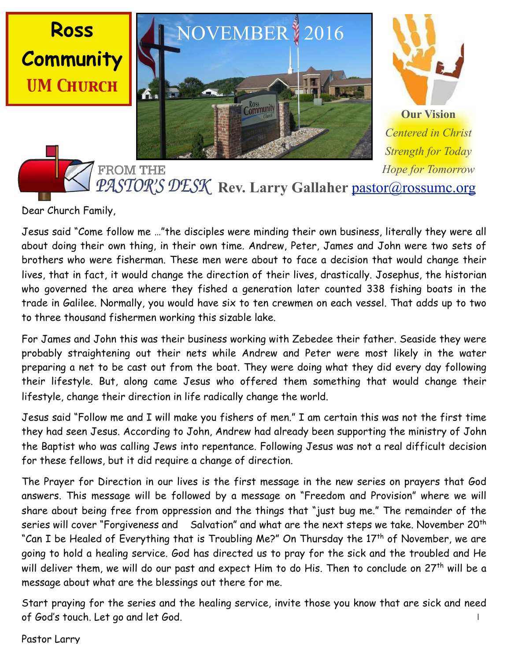



**Our Vision** *Centered in Christ Strength for Today Hope for Tomorrow* Rev. Larry Gallaher [pastor@rossumc.org](mailto:pastor@rossumc.org)

Dear Church Family,

**Ross**

Jesus said "Come follow me …"the disciples were minding their own business, literally they were all about doing their own thing, in their own time. Andrew, Peter, James and John were two sets of brothers who were fisherman. These men were about to face a decision that would change their lives, that in fact, it would change the direction of their lives, drastically. Josephus, the historian who governed the area where they fished a generation later counted 338 fishing boats in the trade in Galilee. Normally, you would have six to ten crewmen on each vessel. That adds up to two to three thousand fishermen working this sizable lake.

For James and John this was their business working with Zebedee their father. Seaside they were probably straightening out their nets while Andrew and Peter were most likely in the water preparing a net to be cast out from the boat. They were doing what they did every day following their lifestyle. But, along came Jesus who offered them something that would change their lifestyle, change their direction in life radically change the world.

Jesus said "Follow me and I will make you fishers of men." I am certain this was not the first time they had seen Jesus. According to John, Andrew had already been supporting the ministry of John the Baptist who was calling Jews into repentance. Following Jesus was not a real difficult decision for these fellows, but it did require a change of direction.

The Prayer for Direction in our lives is the first message in the new series on prayers that God answers. This message will be followed by a message on "Freedom and Provision" where we will share about being free from oppression and the things that "just bug me." The remainder of the series will cover "Forgiveness and Salvation" and what are the next steps we take. November 20<sup>th</sup> "Can I be Healed of Everything that is Troubling Me?" On Thursday the 17<sup>th</sup> of November, we are going to hold a healing service. God has directed us to pray for the sick and the troubled and He will deliver them, we will do our past and expect Him to do His. Then to conclude on 27<sup>th</sup> will be a message about what are the blessings out there for me.

1 Start praying for the series and the healing service, invite those you know that are sick and need of God's touch. Let go and let God.

Pastor Larry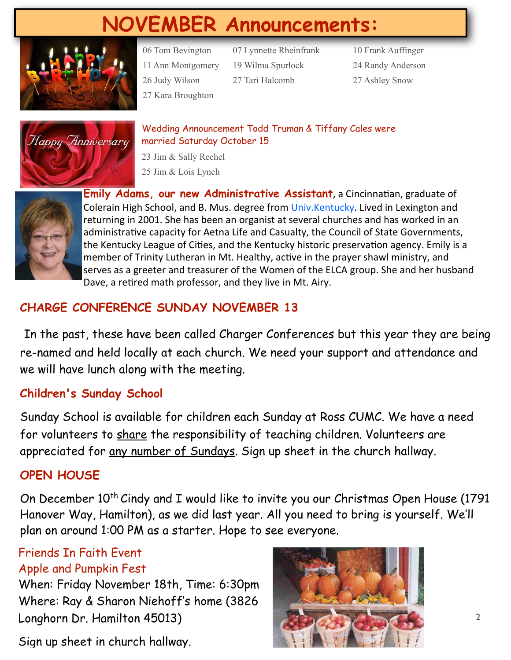# **NOVEMBER Announcements:**



06 Tom Bevington 07 Lynnette Rheinfrank 10 Frank Auffinger 11 Ann Montgomery 19 Wilma Spurlock 24 Randy Anderson 26 Judy Wilson 27 Tari Halcomb 27 Ashley Snow 27 Kara Broughton



Wedding Announcement Todd Truman & Tiffany Cales were married Saturday October 15

23 Jim & Sally Rechel 25 Jim & Lois Lynch



**Emily Adams, our new Administrative Assistant**, a Cincinnatian, graduate of Colerain High School, and B. Mus. degree from Univ.Kentucky. Lived in Lexington and returning in 2001. She has been an organist at several churches and has worked in an administrative capacity for Aetna Life and Casualty, the Council of State Governments, the Kentucky League of Cities, and the Kentucky historic preservation agency. Emily is a member of Trinity Lutheran in Mt. Healthy, active in the prayer shawl ministry, and serves as a greeter and treasurer of the Women of the ELCA group. She and her husband Dave, a retired math professor, and they live in Mt. Airy.

# **CHARGE CONFERENCE SUNDAY NOVEMBER 13**

In the past, these have been called Charger Conferences but this year they are being re-named and held locally at each church. We need your support and attendance and we will have lunch along with the meeting.

# **Children's Sunday School**

Sunday School is available for children each Sunday at Ross CUMC. We have a need for volunteers to share the responsibility of teaching children. Volunteers are appreciated for any number of Sundays. Sign up sheet in the church hallway.

# **OPEN HOUSE**

On December  $10^{th}$  Cindy and I would like to invite you our Christmas Open House (1791) Hanover Way, Hamilton), as we did last year. All you need to bring is yourself. We'll plan on around 1:00 PM as a starter. Hope to see everyone.

## Friends In Faith Event Apple and Pumpkin Fest

When: Friday November 18th, Time: 6:30pm Where: Ray & Sharon Niehoff's home (3826 Longhorn Dr. Hamilton 45013)

Sign up sheet in church hallway.

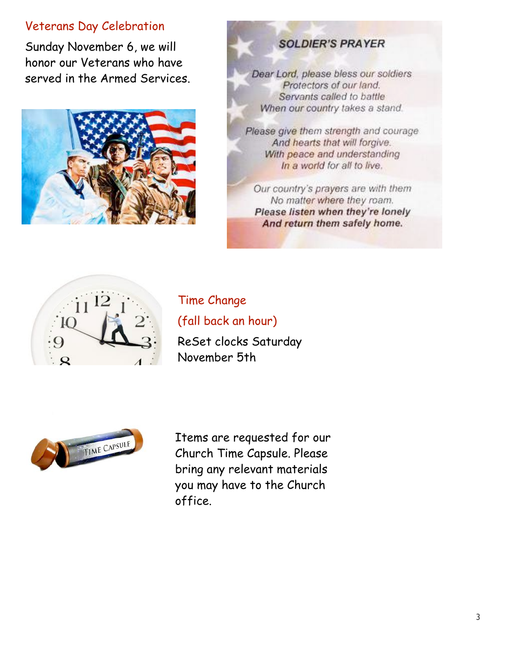## Veterans Day Celebration

Sunday November 6, we will honor our Veterans who have served in the Armed Services.



# **SOLDIER'S PRAYER**

Dear Lord, please bless our soldiers Protectors of our land. Servants called to battle When our country takes a stand.

Please give them strength and courage And hearts that will forgive. With peace and understanding In a world for all to live.

Our country's prayers are with them No matter where they roam. Please listen when they're lonely And return them safely home.



Time Change (fall back an hour) ReSet clocks Saturday

November 5th



Items are requested for our Church Time Capsule. Please bring any relevant materials you may have to the Church office.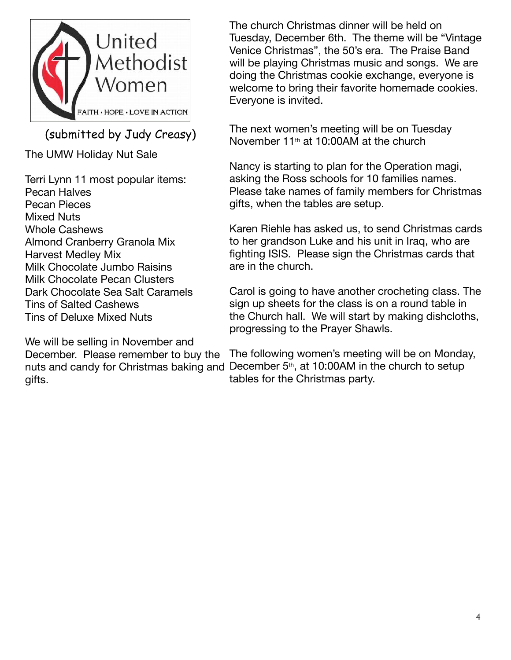

(submitted by Judy Creasy)

The UMW Holiday Nut Sale

Terri Lynn 11 most popular items: Pecan Halves Pecan Pieces Mixed Nuts Whole Cashews Almond Cranberry Granola Mix Harvest Medley Mix Milk Chocolate Jumbo Raisins Milk Chocolate Pecan Clusters Dark Chocolate Sea Salt Caramels Tins of Salted Cashews Tins of Deluxe Mixed Nuts

We will be selling in November and December. Please remember to buy the gifts.

The church Christmas dinner will be held on Tuesday, December 6th. The theme will be "Vintage Venice Christmas", the 50's era. The Praise Band will be playing Christmas music and songs. We are doing the Christmas cookie exchange, everyone is welcome to bring their favorite homemade cookies. Everyone is invited.

The next women's meeting will be on Tuesday November 11th at 10:00AM at the church

Nancy is starting to plan for the Operation magi, asking the Ross schools for 10 families names. Please take names of family members for Christmas gifts, when the tables are setup.

Karen Riehle has asked us, to send Christmas cards to her grandson Luke and his unit in Iraq, who are fighting ISIS. Please sign the Christmas cards that are in the church.

Carol is going to have another crocheting class. The sign up sheets for the class is on a round table in the Church hall. We will start by making dishcloths, progressing to the Prayer Shawls.

nuts and candy for Christmas baking and December 5<sup>th</sup>, at 10:00AM in the church to setup The following women's meeting will be on Monday, tables for the Christmas party.